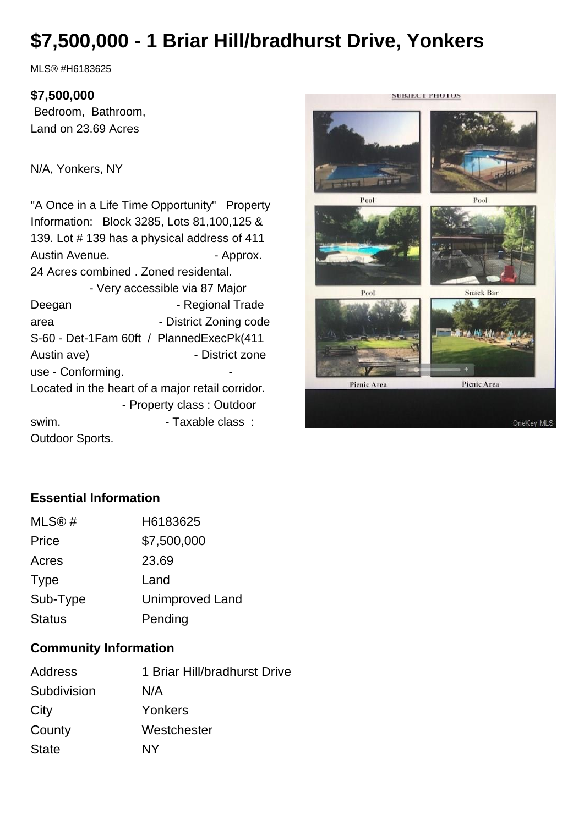# **\$7,500,000 - 1 Briar Hill/bradhurst Drive, Yonkers**

MLS® #H6183625

#### **\$7,500,000**

 Bedroom, Bathroom, Land on 23.69 Acres

N/A, Yonkers, NY

"A Once in a Life Time Opportunity" Property Information: Block 3285, Lots 81,100,125 & 139. Lot # 139 has a physical address of 411 Austin Avenue. **Austin Avenue.** Approx. 24 Acres combined . Zoned residental. - Very accessible via 87 Major Deegan - Regional Trade area - District Zoning code S-60 - Det-1Fam 60ft / PlannedExecPk(411 Austin ave) **- District zone** use - Conforming. Located in the heart of a major retail corridor. - Property class : Outdoor swim.  $\qquad \qquad$  - Taxable class : Outdoor Sports.



### **Essential Information**

| MLS@#         | H6183625               |
|---------------|------------------------|
| Price         | \$7,500,000            |
| Acres         | 23.69                  |
| <b>Type</b>   | Land                   |
| Sub-Type      | <b>Unimproved Land</b> |
| <b>Status</b> | Pending                |
|               |                        |

#### **Community Information**

| 1 Briar Hill/bradhurst Drive |
|------------------------------|
| N/A                          |
| Yonkers                      |
| Westchester                  |
| NΥ                           |
|                              |